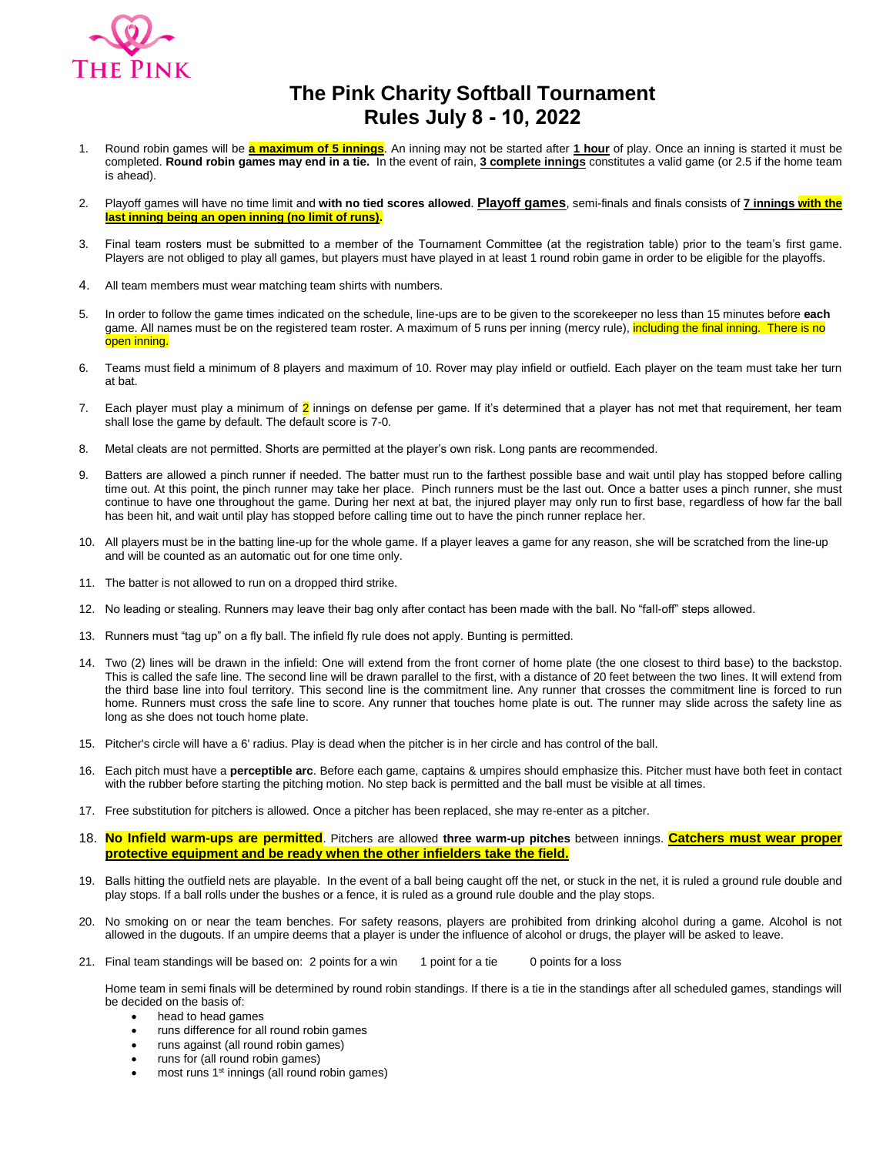

## **The Pink Charity Softball Tournament Rules July 8 - 10, 2022**

- 1. Round robin games will be **a maximum of 5 innings**. An inning may not be started after **1 hour** of play. Once an inning is started it must be completed. **Round robin games may end in a tie.** In the event of rain, **3 complete innings** constitutes a valid game (or 2.5 if the home team is ahead).
- 2. Playoff games will have no time limit and **with no tied scores allowed**. **Playoff games**, semi-finals and finals consists of **7 innings with the last inning being an open inning (no limit of runs).**
- 3. Final team rosters must be submitted to a member of the Tournament Committee (at the registration table) prior to the team's first game. Players are not obliged to play all games, but players must have played in at least 1 round robin game in order to be eligible for the playoffs.
- 4. All team members must wear matching team shirts with numbers.
- 5. In order to follow the game times indicated on the schedule, line-ups are to be given to the scorekeeper no less than 15 minutes before **each** game. All names must be on the registered team roster. A maximum of 5 runs per inning (mercy rule), including the final inning. There is no open inning.
- 6. Teams must field a minimum of 8 players and maximum of 10. Rover may play infield or outfield. Each player on the team must take her turn at bat.
- 7. Each player must play a minimum of  $\overline{2}$  innings on defense per game. If it's determined that a player has not met that requirement, her team shall lose the game by default. The default score is 7-0.
- 8. Metal cleats are not permitted. Shorts are permitted at the player's own risk. Long pants are recommended.
- 9. Batters are allowed a pinch runner if needed. The batter must run to the farthest possible base and wait until play has stopped before calling time out. At this point, the pinch runner may take her place. Pinch runners must be the last out. Once a batter uses a pinch runner, she must continue to have one throughout the game. During her next at bat, the injured player may only run to first base, regardless of how far the ball has been hit, and wait until play has stopped before calling time out to have the pinch runner replace her.
- 10. All players must be in the batting line-up for the whole game. If a player leaves a game for any reason, she will be scratched from the line-up and will be counted as an automatic out for one time only.
- 11. The batter is not allowed to run on a dropped third strike.
- 12. No leading or stealing. Runners may leave their bag only after contact has been made with the ball. No "fall-off" steps allowed.
- 13. Runners must "tag up" on a fly ball. The infield fly rule does not apply. Bunting is permitted.
- 14. Two (2) lines will be drawn in the infield: One will extend from the front corner of home plate (the one closest to third base) to the backstop. This is called the safe line. The second line will be drawn parallel to the first, with a distance of 20 feet between the two lines. It will extend from the third base line into foul territory. This second line is the commitment line. Any runner that crosses the commitment line is forced to run home. Runners must cross the safe line to score. Any runner that touches home plate is out. The runner may slide across the safety line as long as she does not touch home plate.
- 15. Pitcher's circle will have a 6' radius. Play is dead when the pitcher is in her circle and has control of the ball.
- 16. Each pitch must have a **perceptible arc**. Before each game, captains & umpires should emphasize this. Pitcher must have both feet in contact with the rubber before starting the pitching motion. No step back is permitted and the ball must be visible at all times.
- 17. Free substitution for pitchers is allowed. Once a pitcher has been replaced, she may re-enter as a pitcher.
- 18. **No Infield warm-ups are permitted**. Pitchers are allowed **three warm-up pitches** between innings. **Catchers must wear proper protective equipment and be ready when the other infielders take the field.**
- 19. Balls hitting the outfield nets are playable. In the event of a ball being caught off the net, or stuck in the net, it is ruled a ground rule double and play stops. If a ball rolls under the bushes or a fence, it is ruled as a ground rule double and the play stops.
- 20. No smoking on or near the team benches. For safety reasons, players are prohibited from drinking alcohol during a game. Alcohol is not allowed in the dugouts. If an umpire deems that a player is under the influence of alcohol or drugs, the player will be asked to leave.
- 21. Final team standings will be based on: 2 points for a win 1 point for a tie 0 points for a loss

Home team in semi finals will be determined by round robin standings. If there is a tie in the standings after all scheduled games, standings will be decided on the basis of:

- head to head games
- runs difference for all round robin games
- runs against (all round robin games)
- runs for (all round robin games)
- most runs 1<sup>st</sup> innings (all round robin games)